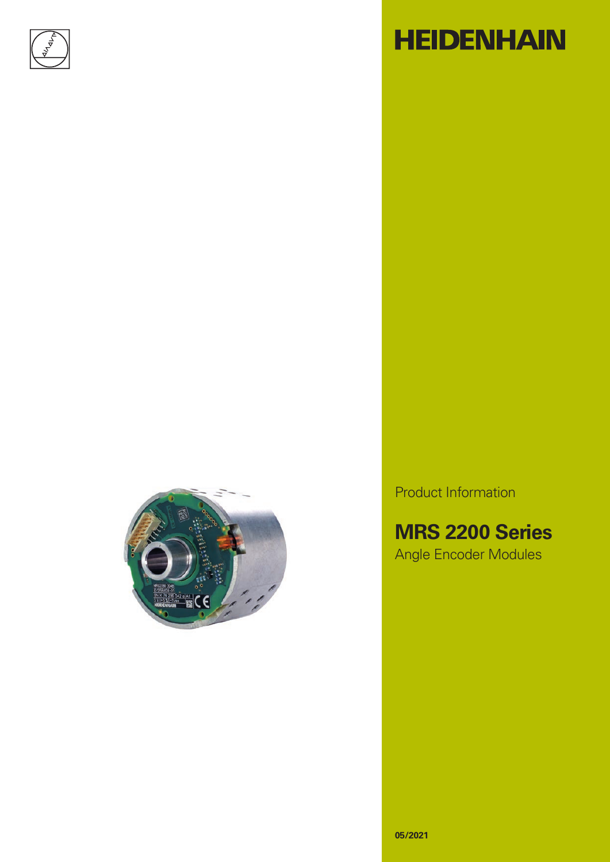

# **HEIDENHAIN**



Product Information

**MRS 2200 Series** Angle Encoder Modules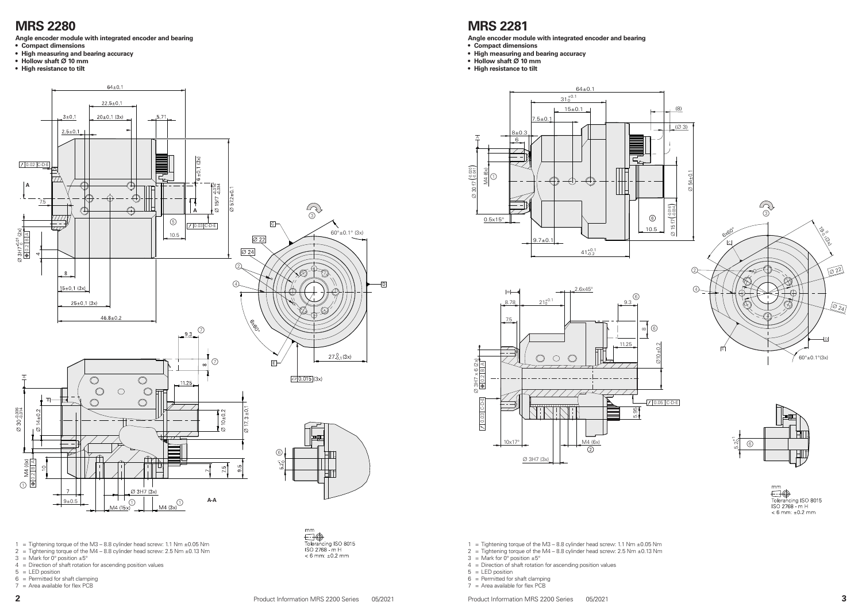

1 = Tightening torque of the M3 - 8.8 cylinder head screw: 1.1 Nm  $\pm$ 0.05 Nm

- 2 = Tightening torque of the M4  $-$  8.8 cylinder head screw: 2.5 Nm  $\pm$ 0.13 Nm
- $3 =$  Mark for 0° position  $\pm 5^{\circ}$
- 4 = Direction of shaft rotation for ascending position values
- 5 = LED position
- $6 =$  Permitted for shaft clamping
- $7 =$  Area available for flex PCB
- 

 $< 6$  mm:  $\pm 0.2$  mm



mm ......<br>Tolerancing ISO 8015<br>ISO 2768 - m H  $< 6$  mm:  $\pm 0.2$  mm





1 = Tightening torque of the M3 – 8.8 cylinder head screw: 1.1 Nm  $\pm$ 0.05 Nm

- 2 = Tightening torque of the M4 8.8 cylinder head screw: 2.5 Nm  $\pm$ 0.13 Nm
- $3 =$  Mark for 0 $^{\circ}$  position  $\pm 5^{\circ}$
- $4 =$  Direction of shaft rotation for ascending position values
- $5 = LED$  position
- $6 =$  Permitted for shaft clamping
- $7 =$  Area available for flex PCB



#### **MRS 2280**

**Angle encoder module with integrated encoder and bearing**

- **• Compact dimensions**
- **• High measuring and bearing accuracy**
- **• Hollow shaft 10 mm**
- **• High resistance to tilt**

#### **MRS 2281**

- **Angle encoder module with integrated encoder and bearing**
- **• Compact dimensions**
- **• High measuring and bearing accuracy**
- **• Hollow shaft 10 mm • High resistance to tilt**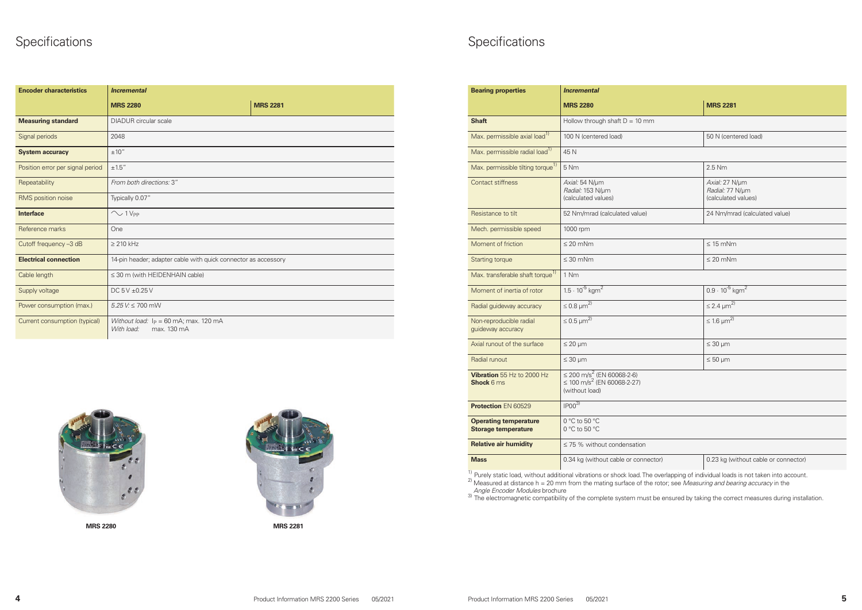

**MRS 2280 MRS 2281**



### **Specifications**

|    | <b>MRS 2281</b>                                          |
|----|----------------------------------------------------------|
| 'n |                                                          |
|    | 50 N (centered load)                                     |
|    |                                                          |
|    | $2.5$ Nm                                                 |
|    | Axial: 27 N/µm<br>Radial: 77 N/µm<br>(calculated values) |
|    | 24 Nm/mrad (calculated value)                            |
|    |                                                          |
|    | $\leq 15$ mNm                                            |
|    | $\leq 20$ mNm                                            |

| ctor) | 0.23 kg (without cable or connector) |
|-------|--------------------------------------|

## Specifications

| <b>Encoder characteristics</b>   | <b>Incremental</b>                                                    |                 |  |  |  |  |  |
|----------------------------------|-----------------------------------------------------------------------|-----------------|--|--|--|--|--|
|                                  | <b>MRS 2280</b>                                                       | <b>MRS 2281</b> |  |  |  |  |  |
| <b>Measuring standard</b>        | <b>DIADUR</b> circular scale                                          |                 |  |  |  |  |  |
| Signal periods                   | 2048                                                                  |                 |  |  |  |  |  |
| <b>System accuracy</b>           | ±10''                                                                 |                 |  |  |  |  |  |
| Position error per signal period | $\pm 1.5^{\prime\prime}$                                              |                 |  |  |  |  |  |
| Repeatability                    | From both directions: 3"                                              |                 |  |  |  |  |  |
| RMS position noise               | Typically 0.07"                                                       |                 |  |  |  |  |  |
| <b>Interface</b>                 | $\sim$ 1 V <sub>PP</sub>                                              |                 |  |  |  |  |  |
| Reference marks                  | One                                                                   |                 |  |  |  |  |  |
| Cutoff frequency -3 dB           | $\geq$ 210 kHz                                                        |                 |  |  |  |  |  |
| <b>Electrical connection</b>     | 14-pin header; adapter cable with quick connector as accessory        |                 |  |  |  |  |  |
| Cable length                     | $\leq$ 30 m (with HEIDENHAIN cable)                                   |                 |  |  |  |  |  |
| Supply voltage                   | DC $5V \pm 0.25V$                                                     |                 |  |  |  |  |  |
| Power consumption (max.)         | $5.25$ V: $\leq 700$ mW                                               |                 |  |  |  |  |  |
| Current consumption (typical)    | Without load: $I_P = 60$ mA; max. 120 mA<br>max. 130 mA<br>With load: |                 |  |  |  |  |  |

| <b>Bearing properties</b>                                  | <b>Incremental</b>                                                                                     |                                                          |  |  |  |  |
|------------------------------------------------------------|--------------------------------------------------------------------------------------------------------|----------------------------------------------------------|--|--|--|--|
|                                                            | <b>MRS 2280</b>                                                                                        | <b>MRS 2281</b>                                          |  |  |  |  |
| <b>Shaft</b>                                               | Hollow through shaft $D = 10$ mm                                                                       |                                                          |  |  |  |  |
| Max. permissible axial load <sup>1)</sup>                  | 100 N (centered load)<br>50 N (centered load)                                                          |                                                          |  |  |  |  |
| Max. permissible radial load <sup>1)</sup>                 | 45 N                                                                                                   |                                                          |  |  |  |  |
| Max. permissible tilting torque <sup>1)</sup>              | 5 Nm                                                                                                   | 2.5 Nm                                                   |  |  |  |  |
| <b>Contact stiffness</b>                                   | Axial: 54 N/µm<br>Radial: 153 N/µm<br>(calculated values)                                              | Axial: 27 N/µm<br>Radial: 77 N/µm<br>(calculated values) |  |  |  |  |
| Resistance to tilt                                         | 52 Nm/mrad (calculated value)                                                                          | 24 Nm/mrad (calculated value)                            |  |  |  |  |
| Mech. permissible speed                                    | 1000 rpm                                                                                               |                                                          |  |  |  |  |
| Moment of friction                                         | $\leq 20$ mNm                                                                                          | $\leq 15$ mNm                                            |  |  |  |  |
| <b>Starting torque</b>                                     | $\leq 30$ mNm<br>$\leq$ 20 mNm                                                                         |                                                          |  |  |  |  |
| Max. transferable shaft torque <sup>1)</sup>               | 1 Nm                                                                                                   |                                                          |  |  |  |  |
| Moment of inertia of rotor                                 | $1.5 \cdot 10^{-5}$ kgm <sup>2</sup>                                                                   | $0.9 \cdot 10^{-5}$ kgm <sup>2</sup>                     |  |  |  |  |
| Radial guideway accuracy                                   | $\leq 0.8 \mu m^{2}$                                                                                   | $\leq$ 2.4 $\mu$ m <sup>2)</sup>                         |  |  |  |  |
| Non-reproducible radial<br>guideway accuracy               | $\leq$ 0.5 $\mu$ m <sup>2)</sup>                                                                       | $\leq 1.6$ $\mu m^{2}$                                   |  |  |  |  |
| Axial runout of the surface                                | $\leq 20 \mu m$                                                                                        | $\leq 30$ µm                                             |  |  |  |  |
| Radial runout                                              | $\leq 30 \mu m$<br>$\leq 50 \mu m$                                                                     |                                                          |  |  |  |  |
| Vibration 55 Hz to 2000 Hz<br><b>Shock 6 ms</b>            | $\leq$ 200 m/s <sup>2</sup> (EN 60068-2-6)<br>≤ 100 m/s <sup>2</sup> (EN 60068-2-27)<br>(without load) |                                                          |  |  |  |  |
| <b>Protection EN 60529</b>                                 | IPOO <sup>3</sup>                                                                                      |                                                          |  |  |  |  |
| <b>Operating temperature</b><br><b>Storage temperature</b> | 0 °C to 50 °C<br>0 °C to 50 °C                                                                         |                                                          |  |  |  |  |
| <b>Relative air humidity</b>                               | $\leq$ 75 % without condensation                                                                       |                                                          |  |  |  |  |
| <b>Mass</b>                                                | 0.23 kg (without cable or connector)<br>0.34 kg (without cable or connector)                           |                                                          |  |  |  |  |

<sup>1)</sup> Purely static load, without additional vibrations or shock load. The overlapping of individual loads is not taken into account.<br><sup>2)</sup> Measured at distance h = 20 mm from the mating surface of the rotor; see *Measuring* 

*Angle Encoder Modules* brochure 3) The electromagnetic compatibility of the complete system must be ensured by taking the correct measures during installation.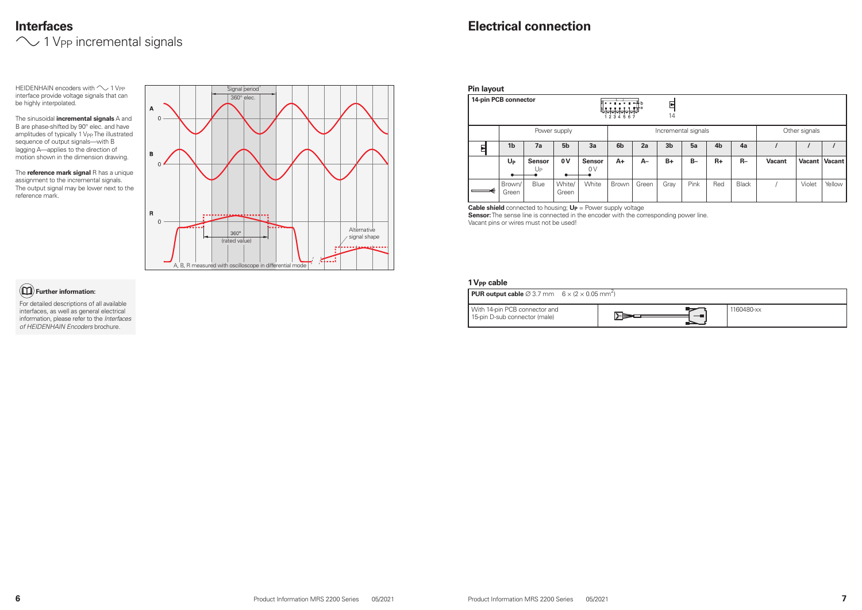|  | ٢ |  |
|--|---|--|

### **Interfaces**  $\sim$  1 V<sub>PP</sub> incremental signals



HEIDENHAIN encoders with  $\sim$  1 V<sub>PP</sub> interface provide voltage signals that can be highly interpolated.

The sinusoidal **incremental signals** A and B are phase-shifted by 90° elec. and have amplitudes of typically 1 V<sub>PP</sub> The illustrated sequence of output signals—with B lagging A—applies to the direction of motion shown in the dimension drawing.

| <b>Pin layout</b>    |                 |                     |                 |                     |                |       |                |                     |                |              |               |               |               |
|----------------------|-----------------|---------------------|-----------------|---------------------|----------------|-------|----------------|---------------------|----------------|--------------|---------------|---------------|---------------|
| 14-pin PCB connector |                 |                     |                 |                     | .<br>1234567   |       | 티<br>14        |                     |                |              |               |               |               |
|                      |                 |                     | Power supply    |                     |                |       |                | Incremental signals |                |              |               | Other signals |               |
| 터                    | 1 <sub>b</sub>  | 7a                  | 5 <sub>b</sub>  | 3a                  | 6 <sub>b</sub> | 2a    | 3 <sub>b</sub> | 5a                  | 4 <sub>b</sub> | 4a           |               |               |               |
|                      | $U_{P}$         | <b>Sensor</b><br>Up | 0V              | <b>Sensor</b><br>0V | A+             | $A-$  | $B+$           | $B -$               | $R+$           | $R-$         | <b>Vacant</b> | Vacant        | <b>Vacant</b> |
|                      | Brown/<br>Green | Blue                | White/<br>Green | White               | Brown          | Green | Gray           | Pink                | Red            | <b>Black</b> |               | Violet        | Yellow        |

The **reference mark signal** R has a unique assignment to the incremental signals. The output signal may be lower next to the reference mark.

> **Cable shield** connected to housing;  $U_P$  = Power supply voltage **Sensor:** The sense line is connected in the encoder with the corresponding power line. Vacant pins or wires must not be used!

#### **1 V<sub>PP</sub> cable**

#### **Further information:**

For detailed descriptions of all available interfaces, as well as general electrical information, please refer to the *Interfaces of HEIDENHAIN Encoders* brochure.

| <b>PUR output cable</b> $\varnothing$ 3.7 mm 6 x (2 x 0.05 mm <sup>2</sup> ) |                                              |
|------------------------------------------------------------------------------|----------------------------------------------|
| With 14-pin PCB connector and<br>15-pin D-sub connector (male)               | $\mathsf{P}\blacktriangleright\hspace{-4pt}$ |

| 1160480-xx |
|------------|
|            |

#### **Electrical connection**